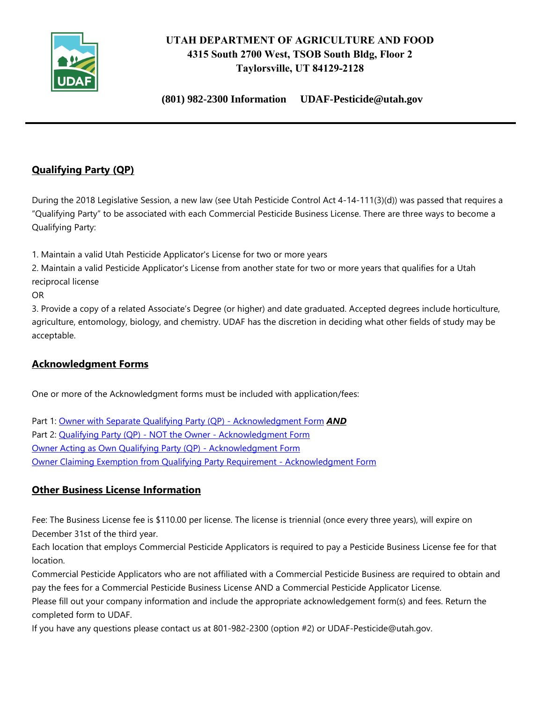

# **UTAH DEPARTMENT OF AGRICULTURE AND FOOD 4315 South 2700 West, TSOB South Bldg, Floor 2 Taylorsville, UT 84129-2128**

**(801) 982-2300 Information UDAF-Pesticide@utah.gov**

# **Qualifying Party (QP)**

During the 2018 Legislative Session, a new law (see Utah Pesticide Control Act 4-14-111(3)(d)) was passed that requires a "Qualifying Party" to be associated with each Commercial Pesticide Business License. There are three ways to become a Qualifying Party:

1. Maintain a valid Utah Pesticide Applicator's License for two or more years

2. Maintain a valid Pesticide Applicator's License from another state for two or more years that qualifies for a Utah reciprocal license

OR

3. Provide a copy of a related Associate's Degree (or higher) and date graduated. Accepted degrees include horticulture, agriculture, entomology, biology, and chemistry. UDAF has the discretion in deciding what other fields of study may be acceptable.

#### **Acknowledgment Forms**

One or more of the Acknowledgment forms must be included with application/fees:

Part 1: [Owner with Separate Qualifying Party \(QP\) -](https://ag.utah.gov/documents/OwnerWithSeparateQualifyingParty-Part1.pdf) Acknowledgment Form *AND* Part 2: Qualifying Party (QP) - NOT the Owner - [Acknowledgment Form](https://ag.utah.gov/documents/OwnerWithSeparateQualifyingParty-Part2.pdf) [Owner Acting as Own Qualifying Party \(QP\) -](https://ag.utah.gov/documents/OwnerActingAsOwnQualifyingParty.pdf) Acknowledgment Form [Owner Claiming Exemption from Qualifying Party Requirement -](https://ag.utah.gov/documents/OwnerClaimingExemptionFromQualifyingPartyRequirement.pdf) Acknowledgment Form

# **Other Business License Information**

Fee: The Business License fee is \$110.00 per license. The license is triennial (once every three years), will expire on December 31st of the third year.

Each location that employs Commercial Pesticide Applicators is required to pay a Pesticide Business License fee for that location.

Commercial Pesticide Applicators who are not affiliated with a Commercial Pesticide Business are required to obtain and pay the fees for a Commercial Pesticide Business License AND a Commercial Pesticide Applicator License.

Please fill out your company information and include the appropriate acknowledgement form(s) and fees. Return the completed form to UDAF.

If you have any questions please contact us at 801-982-2300 (option #2) or UDAF-Pesticide@utah.gov.